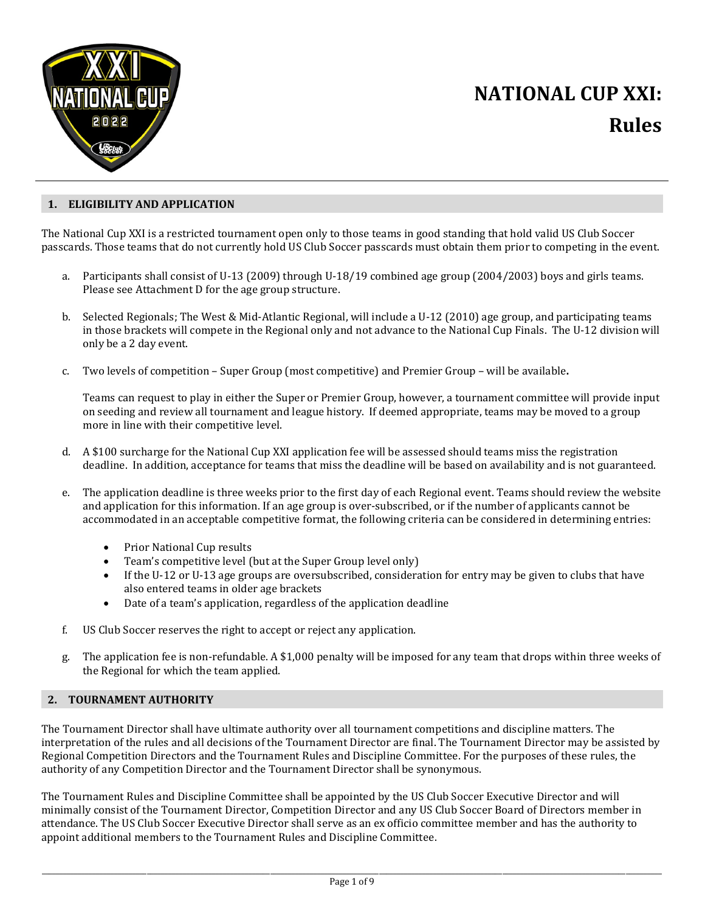

## **1. ELIGIBILITY AND APPLICATION**

The National Cup XXI is a restricted tournament open only to those teams in good standing that hold valid US Club Soccer passcards. Those teams that do not currently hold US Club Soccer passcards must obtain them prior to competing in the event.

- a. Participants shall consist of U-13 (2009) through U-18/19 combined age group (2004/2003) boys and girls teams. Please see Attachment D for the age group structure.
- b. Selected Regionals; The West & Mid-Atlantic Regional, will include a U-12 (2010) age group, and participating teams in those brackets will compete in the Regional only and not advance to the National Cup Finals. The U-12 division will only be a 2 day event.
- c. Two levels of competition Super Group (most competitive) and Premier Group will be available**.**

Teams can request to play in either the Super or Premier Group, however, a tournament committee will provide input on seeding and review all tournament and league history. If deemed appropriate, teams may be moved to a group more in line with their competitive level.

- d. A \$100 surcharge for the National Cup XXI application fee will be assessed should teams miss the registration deadline. In addition, acceptance for teams that miss the deadline will be based on availability and is not guaranteed.
- e. The application deadline is three weeks prior to the first day of each Regional event. Teams should review the website and application for this information. If an age group is over-subscribed, or if the number of applicants cannot be accommodated in an acceptable competitive format, the following criteria can be considered in determining entries:
	- Prior National Cup results
	- Team's competitive level (but at the Super Group level only)<br>• If the U-12 or U-13 age groups are oversubscribed, considera
	- If the U-12 or U-13 age groups are oversubscribed, consideration for entry may be given to clubs that have also entered teams in older age brackets
	- Date of a team's application, regardless of the application deadline
- f. US Club Soccer reserves the right to accept or reject any application.
- g. The application fee is non-refundable. A \$1,000 penalty will be imposed for any team that drops within three weeks of the Regional for which the team applied.

## **2. TOURNAMENT AUTHORITY**

The Tournament Director shall have ultimate authority over all tournament competitions and discipline matters. The interpretation of the rules and all decisions of the Tournament Director are final. The Tournament Director may be assisted by Regional Competition Directors and the Tournament Rules and Discipline Committee. For the purposes of these rules, the authority of any Competition Director and the Tournament Director shall be synonymous.

The Tournament Rules and Discipline Committee shall be appointed by the US Club Soccer Executive Director and will minimally consist of the Tournament Director, Competition Director and any US Club Soccer Board of Directors member in attendance. The US Club Soccer Executive Director shall serve as an ex officio committee member and has the authority to appoint additional members to the Tournament Rules and Discipline Committee.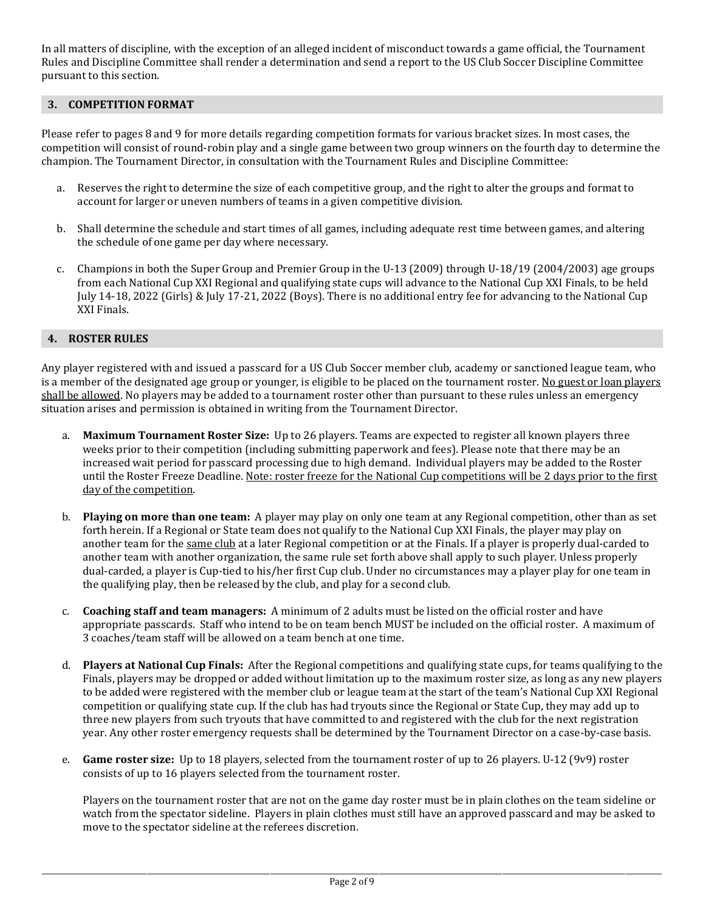In all matters of discipline, with the exception of an alleged incident of misconduct towards a game official, the Tournament Rules and Discipline Committee shall render a determination and send a report to the US Club Soccer Discipline Committee pursuant to this section.

# **3. COMPETITION FORMAT**

Please refer to pages 8 and 9 for more details regarding competition formats for various bracket sizes. In most cases, the competition will consist of round-robin play and a single game between two group winners on the fourth day to determine the champion. The Tournament Director, in consultation with the Tournament Rules and Discipline Committee:

- a. Reserves the right to determine the size of each competitive group, and the right to alter the groups and format to account for larger or uneven numbers of teams in a given competitive division.
- b. Shall determine the schedule and start times of all games, including adequate rest time between games, and altering the schedule of one game per day where necessary.
- c. Champions in both the Super Group and Premier Group in the U-13 (2009) through U-18/19 (2004/2003) age groups from each National Cup XXI Regional and qualifying state cups will advance to the National Cup XXI Finals, to be held July 14-18, 2022 (Girls) & July 17-21, 2022 (Boys). There is no additional entry fee for advancing to the National Cup XXI Finals.

# **4. ROSTER RULES**

Any player registered with and issued a passcard for a US Club Soccer member club, academy or sanctioned league team, who is a member of the designated age group or younger, is eligible to be placed on the tournament roster. No guest or loan players shall be allowed. No players may be added to a tournament roster other than pursuant to these rules unless an emergency situation arises and permission is obtained in writing from the Tournament Director.

- a. **Maximum Tournament Roster Size:** Up to 26 players. Teams are expected to register all known players three weeks prior to their competition (including submitting paperwork and fees). Please note that there may be an increased wait period for passcard processing due to high demand. Individual players may be added to the Roster until the Roster Freeze Deadline. Note: roster freeze for the National Cup competitions will be 2 days prior to the first day of the competition.
- b. **Playing on more than one team:** A player may play on only one team at any Regional competition, other than as set forth herein. If a Regional or State team does not qualify to the National Cup XXI Finals, the player may play on another team for the same club at a later Regional competition or at the Finals. If a player is properly dual-carded to another team with another organization, the same rule set forth above shall apply to such player. Unless properly dual-carded, a player is Cup-tied to his/her first Cup club. Under no circumstances may a player play for one team in the qualifying play, then be released by the club, and play for a second club.
- c. **Coaching staff and team managers:** A minimum of 2 adults must be listed on the official roster and have appropriate passcards. Staff who intend to be on team bench MUST be included on the official roster. A maximum of 3 coaches/team staff will be allowed on a team bench at one time.
- d. **Players at National Cup Finals:** After the Regional competitions and qualifying state cups, for teams qualifying to the Finals, players may be dropped or added without limitation up to the maximum roster size, as long as any new players to be added were registered with the member club or league team at the start of the team's National Cup XXI Regional competition or qualifying state cup. If the club has had tryouts since the Regional or State Cup, they may add up to three new players from such tryouts that have committed to and registered with the club for the next registration year. Any other roster emergency requests shall be determined by the Tournament Director on a case-by-case basis.
- e. **Game roster size:** Up to 18 players, selected from the tournament roster of up to 26 players. U-12 (9v9) roster consists of up to 16 players selected from the tournament roster.

Players on the tournament roster that are not on the game day roster must be in plain clothes on the team sideline or watch from the spectator sideline. Players in plain clothes must still have an approved passcard and may be asked to move to the spectator sideline at the referees discretion.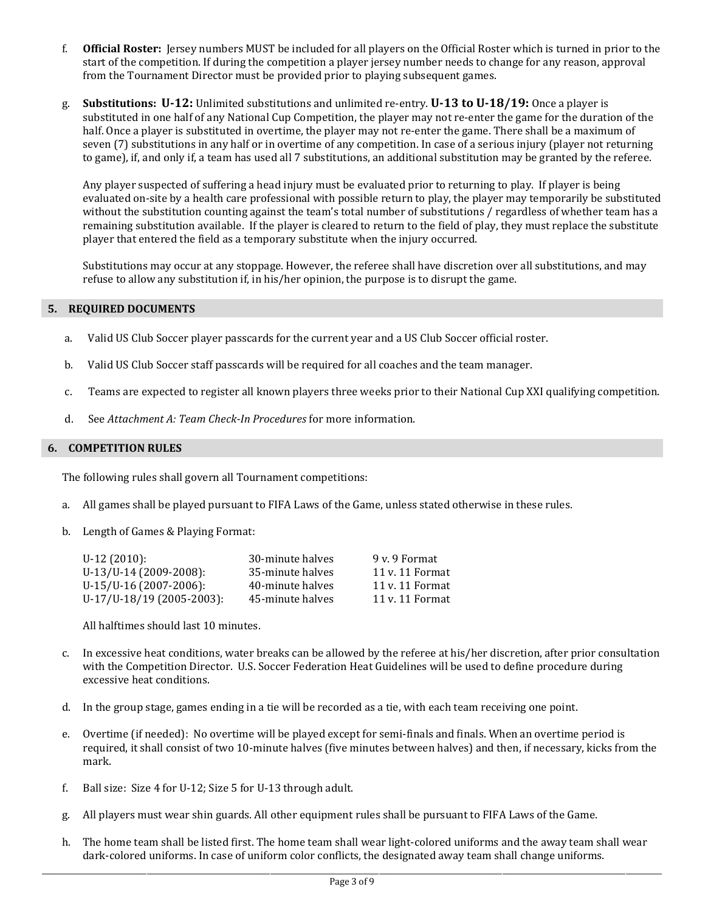- f. **Official Roster:** Jersey numbers MUST be included for all players on the Official Roster which is turned in prior to the start of the competition. If during the competition a player jersey number needs to change for any reason, approval from the Tournament Director must be provided prior to playing subsequent games.
- g. **Substitutions: U-12:** Unlimited substitutions and unlimited re-entry. **U-13 to U-18/19:** Once a player is substituted in one half of any National Cup Competition, the player may not re-enter the game for the duration of the half. Once a player is substituted in overtime, the player may not re-enter the game. There shall be a maximum of seven (7) substitutions in any half or in overtime of any competition. In case of a serious injury (player not returning to game), if, and only if, a team has used all 7 substitutions, an additional substitution may be granted by the referee.

Any player suspected of suffering a head injury must be evaluated prior to returning to play. If player is being evaluated on-site by a health care professional with possible return to play, the player may temporarily be substituted without the substitution counting against the team's total number of substitutions / regardless of whether team has a remaining substitution available. If the player is cleared to return to the field of play, they must replace the substitute player that entered the field as a temporary substitute when the injury occurred.

Substitutions may occur at any stoppage. However, the referee shall have discretion over all substitutions, and may refuse to allow any substitution if, in his/her opinion, the purpose is to disrupt the game.

# **5. REQUIRED DOCUMENTS**

- a. Valid US Club Soccer player passcards for the current year and a US Club Soccer official roster.
- b. Valid US Club Soccer staff passcards will be required for all coaches and the team manager.
- c. Teams are expected to register all known players three weeks prior to their National Cup XXI qualifying competition.
- d. See *Attachment A: Team Check-In Procedures* for more information.

## **6. COMPETITION RULES**

The following rules shall govern all Tournament competitions:

- a. All games shall be played pursuant to FIFA Laws of the Game, unless stated otherwise in these rules.
- b. Length of Games & Playing Format:

| $U-12(2010)$ :            | 30-minute halves | 9 v. 9 Format   |
|---------------------------|------------------|-----------------|
| U-13/U-14 (2009-2008):    | 35-minute halves | 11 v. 11 Format |
| U-15/U-16 (2007-2006):    | 40-minute halves | 11 v. 11 Format |
| U-17/U-18/19 (2005-2003): | 45-minute halves | 11 v. 11 Format |
|                           |                  |                 |

All halftimes should last 10 minutes.

- c. In excessive heat conditions, water breaks can be allowed by the referee at his/her discretion, after prior consultation with the Competition Director. U.S. Soccer Federation Heat Guidelines will be used to define procedure during excessive heat conditions.
- d. In the group stage, games ending in a tie will be recorded as a tie, with each team receiving one point.
- e. Overtime (if needed): No overtime will be played except for semi-finals and finals. When an overtime period is required, it shall consist of two 10-minute halves (five minutes between halves) and then, if necessary, kicks from the mark.
- f. Ball size: Size 4 for U-12; Size 5 for U-13 through adult.
- g. All players must wear shin guards. All other equipment rules shall be pursuant to FIFA Laws of the Game.
- h. The home team shall be listed first. The home team shall wear light-colored uniforms and the away team shall wear dark-colored uniforms. In case of uniform color conflicts, the designated away team shall change uniforms.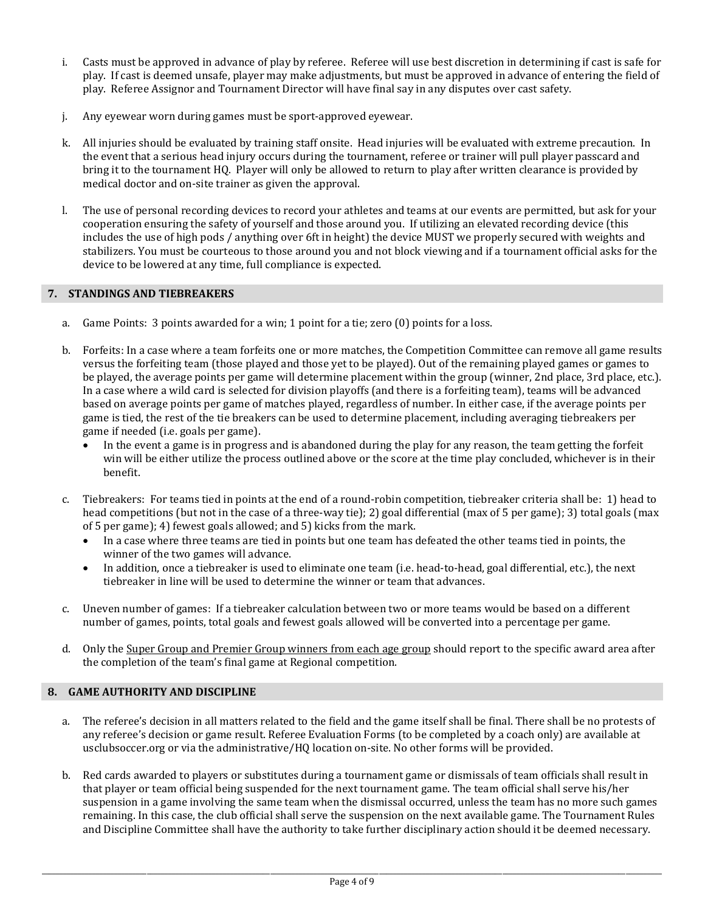- i. Casts must be approved in advance of play by referee. Referee will use best discretion in determining if cast is safe for play. If cast is deemed unsafe, player may make adjustments, but must be approved in advance of entering the field of play. Referee Assignor and Tournament Director will have final say in any disputes over cast safety.
- j. Any eyewear worn during games must be sport-approved eyewear.
- k. All injuries should be evaluated by training staff onsite. Head injuries will be evaluated with extreme precaution. In the event that a serious head injury occurs during the tournament, referee or trainer will pull player passcard and bring it to the tournament HQ. Player will only be allowed to return to play after written clearance is provided by medical doctor and on-site trainer as given the approval.
- l. The use of personal recording devices to record your athletes and teams at our events are permitted, but ask for your cooperation ensuring the safety of yourself and those around you. If utilizing an elevated recording device (this includes the use of high pods / anything over 6ft in height) the device MUST we properly secured with weights and stabilizers. You must be courteous to those around you and not block viewing and if a tournament official asks for the device to be lowered at any time, full compliance is expected.

# **7. STANDINGS AND TIEBREAKERS**

- a. Game Points: 3 points awarded for a win; 1 point for a tie; zero (0) points for a loss.
- b. Forfeits: In a case where a team forfeits one or more matches, the Competition Committee can remove all game results versus the forfeiting team (those played and those yet to be played). Out of the remaining played games or games to be played, the average points per game will determine placement within the group (winner, 2nd place, 3rd place, etc.). In a case where a wild card is selected for division playoffs (and there is a forfeiting team), teams will be advanced based on average points per game of matches played, regardless of number. In either case, if the average points per game is tied, the rest of the tie breakers can be used to determine placement, including averaging tiebreakers per game if needed (i.e. goals per game).
	- In the event a game is in progress and is abandoned during the play for any reason, the team getting the forfeit win will be either utilize the process outlined above or the score at the time play concluded, whichever is in their benefit.
- c. Tiebreakers: For teams tied in points at the end of a round-robin competition, tiebreaker criteria shall be: 1) head to head competitions (but not in the case of a three-way tie); 2) goal differential (max of 5 per game); 3) total goals (max of 5 per game); 4) fewest goals allowed; and 5) kicks from the mark.
	- In a case where three teams are tied in points but one team has defeated the other teams tied in points, the winner of the two games will advance.
	- In addition, once a tiebreaker is used to eliminate one team (i.e. head-to-head, goal differential, etc.), the next tiebreaker in line will be used to determine the winner or team that advances.
- c. Uneven number of games: If a tiebreaker calculation between two or more teams would be based on a different number of games, points, total goals and fewest goals allowed will be converted into a percentage per game.
- d. Only the Super Group and Premier Group winners from each age group should report to the specific award area after the completion of the team's final game at Regional competition.

# **8. GAME AUTHORITY AND DISCIPLINE**

- a. The referee's decision in all matters related to the field and the game itself shall be final. There shall be no protests of any referee's decision or game result. Referee Evaluation Forms (to be completed by a coach only) are available at usclubsoccer.org or via the administrative/HQ location on-site. No other forms will be provided.
- b. Red cards awarded to players or substitutes during a tournament game or dismissals of team officials shall result in that player or team official being suspended for the next tournament game. The team official shall serve his/her suspension in a game involving the same team when the dismissal occurred, unless the team has no more such games remaining. In this case, the club official shall serve the suspension on the next available game. The Tournament Rules and Discipline Committee shall have the authority to take further disciplinary action should it be deemed necessary.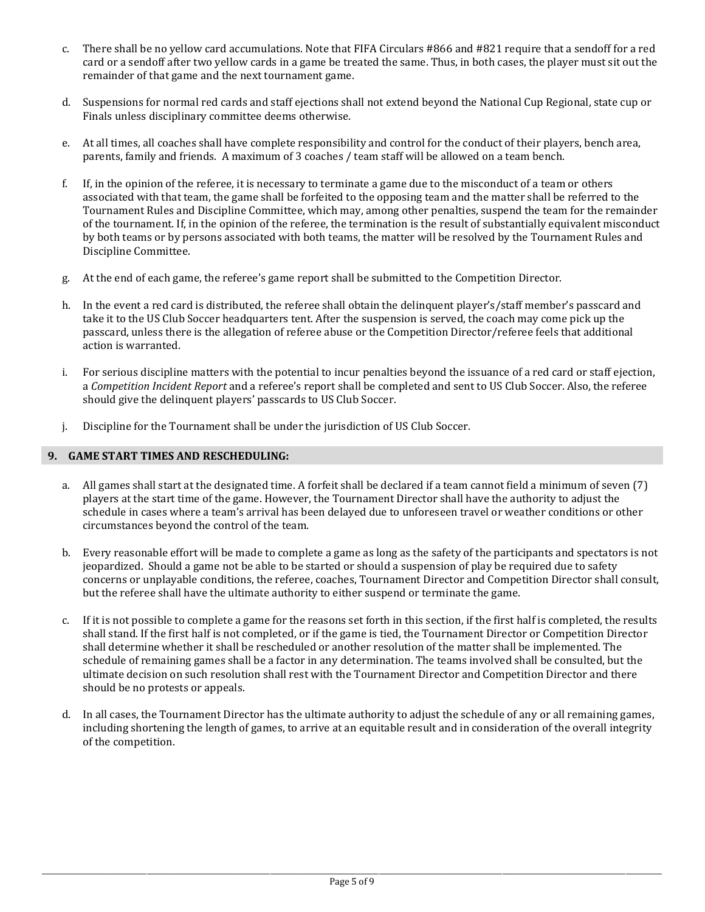- c. There shall be no yellow card accumulations. Note that FIFA Circulars #866 and #821 require that a sendoff for a red card or a sendoff after two yellow cards in a game be treated the same. Thus, in both cases, the player must sit out the remainder of that game and the next tournament game.
- d. Suspensions for normal red cards and staff ejections shall not extend beyond the National Cup Regional, state cup or Finals unless disciplinary committee deems otherwise.
- e. At all times, all coaches shall have complete responsibility and control for the conduct of their players, bench area, parents, family and friends. A maximum of 3 coaches / team staff will be allowed on a team bench.
- f. If, in the opinion of the referee, it is necessary to terminate a game due to the misconduct of a team or others associated with that team, the game shall be forfeited to the opposing team and the matter shall be referred to the Tournament Rules and Discipline Committee, which may, among other penalties, suspend the team for the remainder of the tournament. If, in the opinion of the referee, the termination is the result of substantially equivalent misconduct by both teams or by persons associated with both teams, the matter will be resolved by the Tournament Rules and Discipline Committee.
- g. At the end of each game, the referee's game report shall be submitted to the Competition Director.
- h. In the event a red card is distributed, the referee shall obtain the delinquent player's/staff member's passcard and take it to the US Club Soccer headquarters tent. After the suspension is served, the coach may come pick up the passcard, unless there is the allegation of referee abuse or the Competition Director/referee feels that additional action is warranted.
- i. For serious discipline matters with the potential to incur penalties beyond the issuance of a red card or staff ejection, a *Competition Incident Report* and a referee's report shall be completed and sent to US Club Soccer. Also, the referee should give the delinquent players' passcards to US Club Soccer.
- j. Discipline for the Tournament shall be under the jurisdiction of US Club Soccer.

# **9. GAME START TIMES AND RESCHEDULING:**

- a. All games shall start at the designated time. A forfeit shall be declared if a team cannot field a minimum of seven (7) players at the start time of the game. However, the Tournament Director shall have the authority to adjust the schedule in cases where a team's arrival has been delayed due to unforeseen travel or weather conditions or other circumstances beyond the control of the team.
- b. Every reasonable effort will be made to complete a game as long as the safety of the participants and spectators is not jeopardized. Should a game not be able to be started or should a suspension of play be required due to safety concerns or unplayable conditions, the referee, coaches, Tournament Director and Competition Director shall consult, but the referee shall have the ultimate authority to either suspend or terminate the game.
- c. If it is not possible to complete a game for the reasons set forth in this section, if the first half is completed, the results shall stand. If the first half is not completed, or if the game is tied, the Tournament Director or Competition Director shall determine whether it shall be rescheduled or another resolution of the matter shall be implemented. The schedule of remaining games shall be a factor in any determination. The teams involved shall be consulted, but the ultimate decision on such resolution shall rest with the Tournament Director and Competition Director and there should be no protests or appeals.
- d. In all cases, the Tournament Director has the ultimate authority to adjust the schedule of any or all remaining games, including shortening the length of games, to arrive at an equitable result and in consideration of the overall integrity of the competition.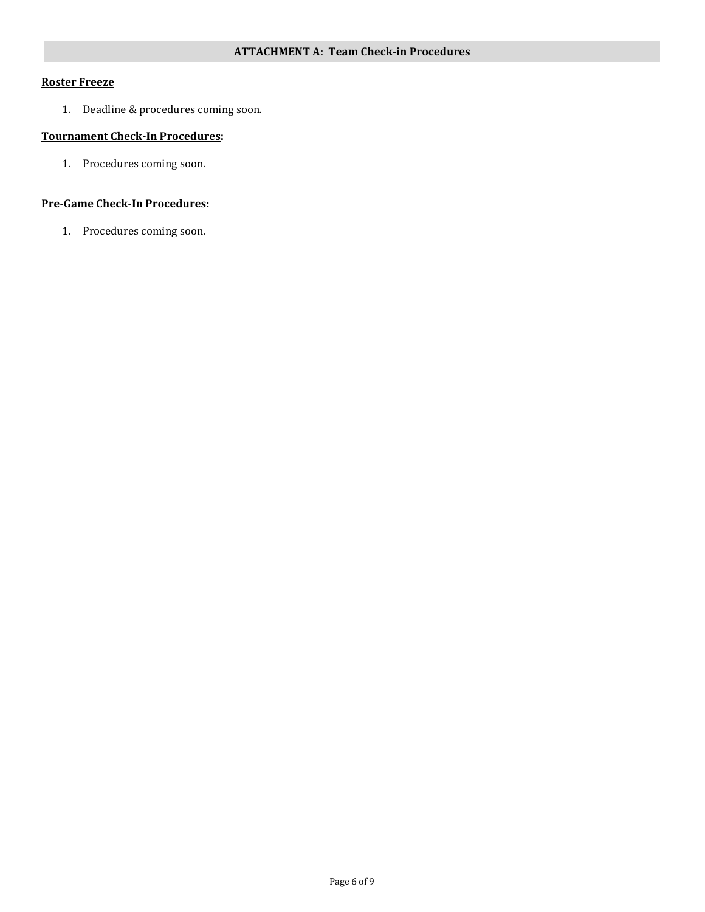# **Roster Freeze**

1. Deadline & procedures coming soon.

# **Tournament Check-In Procedures:**

1. Procedures coming soon.

# **Pre-Game Check-In Procedures:**

1. Procedures coming soon.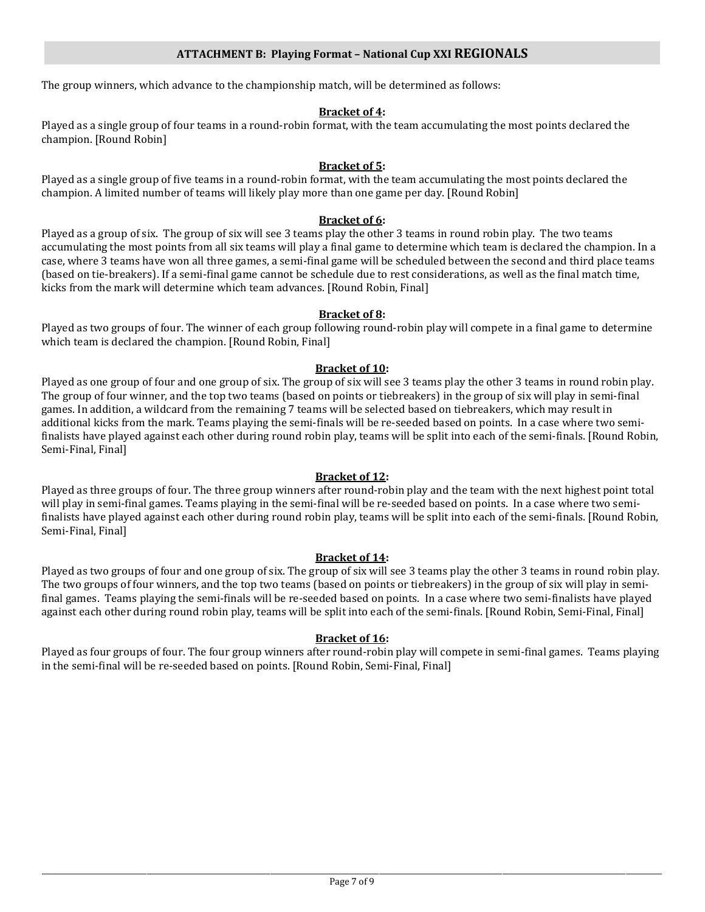# **ATTACHMENT B: Playing Format – National Cup XXI REGIONALS**

The group winners, which advance to the championship match, will be determined as follows:

### **Bracket of 4:**

Played as a single group of four teams in a round-robin format, with the team accumulating the most points declared the champion. [Round Robin]

#### **Bracket of 5:**

Played as a single group of five teams in a round-robin format, with the team accumulating the most points declared the champion. A limited number of teams will likely play more than one game per day. [Round Robin]

#### **Bracket of 6:**

Played as a group of six. The group of six will see 3 teams play the other 3 teams in round robin play. The two teams accumulating the most points from all six teams will play a final game to determine which team is declared the champion. In a case, where 3 teams have won all three games, a semi-final game will be scheduled between the second and third place teams (based on tie-breakers). If a semi-final game cannot be schedule due to rest considerations, as well as the final match time, kicks from the mark will determine which team advances. [Round Robin, Final]

#### **Bracket of 8:**

Played as two groups of four. The winner of each group following round-robin play will compete in a final game to determine which team is declared the champion. [Round Robin, Final]

## **Bracket of 10:**

Played as one group of four and one group of six. The group of six will see 3 teams play the other 3 teams in round robin play. The group of four winner, and the top two teams (based on points or tiebreakers) in the group of six will play in semi-final games. In addition, a wildcard from the remaining 7 teams will be selected based on tiebreakers, which may result in additional kicks from the mark. Teams playing the semi-finals will be re-seeded based on points. In a case where two semifinalists have played against each other during round robin play, teams will be split into each of the semi-finals. [Round Robin, Semi-Final, Final]

## **Bracket of 12:**

Played as three groups of four. The three group winners after round-robin play and the team with the next highest point total will play in semi-final games. Teams playing in the semi-final will be re-seeded based on points. In a case where two semifinalists have played against each other during round robin play, teams will be split into each of the semi-finals. [Round Robin, Semi-Final, Final]

## **Bracket of 14:**

Played as two groups of four and one group of six. The group of six will see 3 teams play the other 3 teams in round robin play. The two groups of four winners, and the top two teams (based on points or tiebreakers) in the group of six will play in semifinal games. Teams playing the semi-finals will be re-seeded based on points. In a case where two semi-finalists have played against each other during round robin play, teams will be split into each of the semi-finals. [Round Robin, Semi-Final, Final]

### **Bracket of 16:**

Played as four groups of four. The four group winners after round-robin play will compete in semi-final games. Teams playing in the semi-final will be re-seeded based on points. [Round Robin, Semi-Final, Final]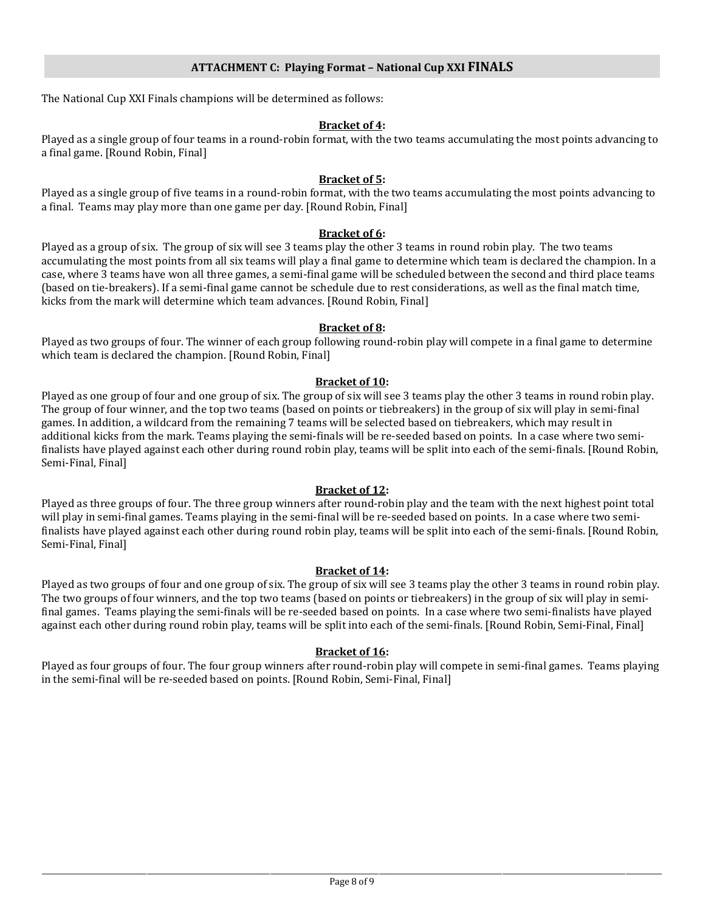The National Cup XXI Finals champions will be determined as follows:

## **Bracket of 4:**

Played as a single group of four teams in a round-robin format, with the two teams accumulating the most points advancing to a final game. [Round Robin, Final]

## **Bracket of 5:**

Played as a single group of five teams in a round-robin format, with the two teams accumulating the most points advancing to a final. Teams may play more than one game per day. [Round Robin, Final]

# **Bracket of 6:**

Played as a group of six. The group of six will see 3 teams play the other 3 teams in round robin play. The two teams accumulating the most points from all six teams will play a final game to determine which team is declared the champion. In a case, where 3 teams have won all three games, a semi-final game will be scheduled between the second and third place teams (based on tie-breakers). If a semi-final game cannot be schedule due to rest considerations, as well as the final match time, kicks from the mark will determine which team advances. [Round Robin, Final]

## **Bracket of 8:**

Played as two groups of four. The winner of each group following round-robin play will compete in a final game to determine which team is declared the champion. [Round Robin, Final]

# **Bracket of 10:**

Played as one group of four and one group of six. The group of six will see 3 teams play the other 3 teams in round robin play. The group of four winner, and the top two teams (based on points or tiebreakers) in the group of six will play in semi-final games. In addition, a wildcard from the remaining 7 teams will be selected based on tiebreakers, which may result in additional kicks from the mark. Teams playing the semi-finals will be re-seeded based on points. In a case where two semifinalists have played against each other during round robin play, teams will be split into each of the semi-finals. [Round Robin, Semi-Final, Final]

## **Bracket of 12:**

Played as three groups of four. The three group winners after round-robin play and the team with the next highest point total will play in semi-final games. Teams playing in the semi-final will be re-seeded based on points. In a case where two semifinalists have played against each other during round robin play, teams will be split into each of the semi-finals. [Round Robin, Semi-Final, Final]

## **Bracket of 14:**

Played as two groups of four and one group of six. The group of six will see 3 teams play the other 3 teams in round robin play. The two groups of four winners, and the top two teams (based on points or tiebreakers) in the group of six will play in semifinal games. Teams playing the semi-finals will be re-seeded based on points. In a case where two semi-finalists have played against each other during round robin play, teams will be split into each of the semi-finals. [Round Robin, Semi-Final, Final]

# **Bracket of 16:**

Played as four groups of four. The four group winners after round-robin play will compete in semi-final games. Teams playing in the semi-final will be re-seeded based on points. [Round Robin, Semi-Final, Final]